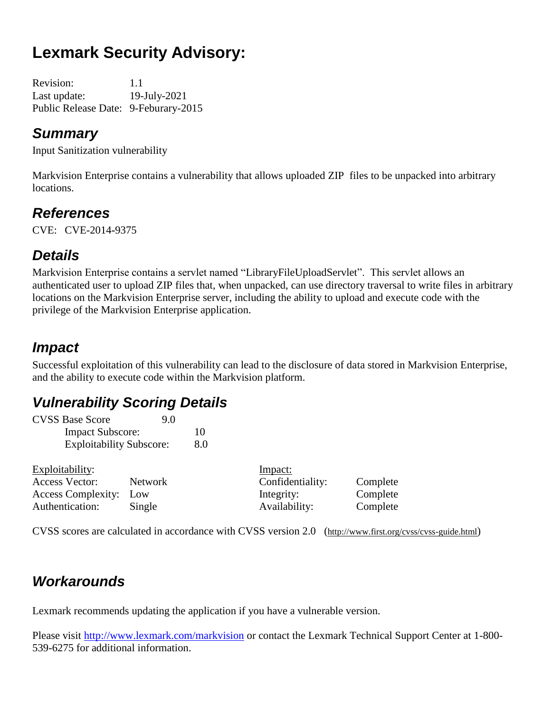# **Lexmark Security Advisory:**

Revision: 1.1 Last update: 19-July-2021 Public Release Date: 9-Feburary-2015

### *Summary*

Input Sanitization vulnerability

Markvision Enterprise contains a vulnerability that allows uploaded ZIP files to be unpacked into arbitrary locations.

## *References*

CVE: CVE-2014**-**9375

## *Details*

Markvision Enterprise contains a servlet named "LibraryFileUploadServlet". This servlet allows an authenticated user to upload ZIP files that, when unpacked, can use directory traversal to write files in arbitrary locations on the Markvision Enterprise server, including the ability to upload and execute code with the privilege of the Markvision Enterprise application.

## *Impact*

Successful exploitation of this vulnerability can lead to the disclosure of data stored in Markvision Enterprise, and the ability to execute code within the Markvision platform.

## *Vulnerability Scoring Details*

| <b>CVSS Base Score</b>          | 9.0 |
|---------------------------------|-----|
| <b>Impact Subscore:</b>         | 10  |
| <b>Exploitability Subscore:</b> | 8.0 |

|         | Impact:                       |          |
|---------|-------------------------------|----------|
| Network | Confidentiality:              | Complete |
|         | Integrity:                    | Complete |
| Single  | Availability:                 | Complete |
|         | <b>Access Complexity:</b> Low |          |

CVSS scores are calculated in accordance with CVSS version 2.0 (http://www.first.org/cvss/cvss-guide.html)

## *Workarounds*

Lexmark recommends updating the application if you have a vulnerable version.

Please visit <http://www.lexmark.com/markvision> or contact the Lexmark Technical Support Center at 1-800- 539-6275 for additional information.